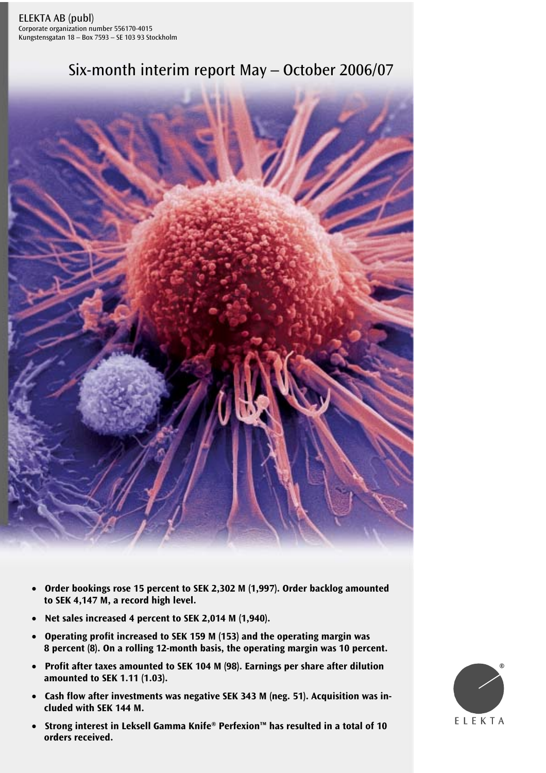# Six-month interim report May – October 2006/07



- **Order bookings rose 15 percent to SEK 2,302 M (1,997). Order backlog amounted to SEK 4,147 M, a record high level.**
- **Net sales increased 4 percent to SEK 2,014 M (1,940).**
- **Operating profit increased to SEK 159 M (153) and the operating margin was 8 percent (8). On a rolling 12-month basis, the operating margin was 10 percent.**
- **Profit after taxes amounted to SEK 104 M (98). Earnings per share after dilution amounted to SEK 1.11 (1.03).**
- **Cash flow after investments was negative SEK 343 M (neg. 51). Acquisition was included with SEK 144 M.**
- $\epsilon$ eived. Six-month interim report May-October 2006/07 1999/07 1999/07 1999/07 1999/07 1999/07 1999/07 1999/07 199 • **Strong interest in Leksell Gamma Knife® Perfexion™ has resulted in a total of 10 orders received.**

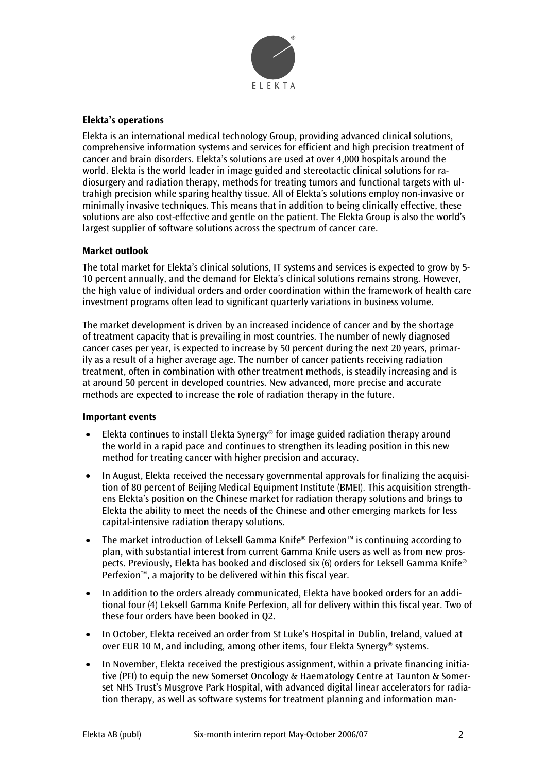

# **Elekta's operations**

Elekta is an international medical technology Group, providing advanced clinical solutions, comprehensive information systems and services for efficient and high precision treatment of cancer and brain disorders. Elekta's solutions are used at over 4,000 hospitals around the world. Elekta is the world leader in image guided and stereotactic clinical solutions for radiosurgery and radiation therapy, methods for treating tumors and functional targets with ultrahigh precision while sparing healthy tissue. All of Elekta's solutions employ non-invasive or minimally invasive techniques. This means that in addition to being clinically effective, these solutions are also cost-effective and gentle on the patient. The Elekta Group is also the world's largest supplier of software solutions across the spectrum of cancer care.

# **Market outlook**

The total market for Elekta's clinical solutions, IT systems and services is expected to grow by 5- 10 percent annually, and the demand for Elekta's clinical solutions remains strong. However, the high value of individual orders and order coordination within the framework of health care investment programs often lead to significant quarterly variations in business volume.

The market development is driven by an increased incidence of cancer and by the shortage of treatment capacity that is prevailing in most countries. The number of newly diagnosed cancer cases per year, is expected to increase by 50 percent during the next 20 years, primarily as a result of a higher average age. The number of cancer patients receiving radiation treatment, often in combination with other treatment methods, is steadily increasing and is at around 50 percent in developed countries. New advanced, more precise and accurate methods are expected to increase the role of radiation therapy in the future.

# **Important events**

- Elekta continues to install Elekta Synergy® for image guided radiation therapy around the world in a rapid pace and continues to strengthen its leading position in this new method for treating cancer with higher precision and accuracy.
- In August, Elekta received the necessary governmental approvals for finalizing the acquisition of 80 percent of Beijing Medical Equipment Institute (BMEI). This acquisition strengthens Elekta's position on the Chinese market for radiation therapy solutions and brings to Elekta the ability to meet the needs of the Chinese and other emerging markets for less capital-intensive radiation therapy solutions.
- The market introduction of Leksell Gamma Knife® Perfexion™ is continuing according to plan, with substantial interest from current Gamma Knife users as well as from new prospects. Previously, Elekta has booked and disclosed six (6) orders for Leksell Gamma Knife® Perfexion™, a majority to be delivered within this fiscal year.
- In addition to the orders already communicated, Elekta have booked orders for an additional four (4) Leksell Gamma Knife Perfexion, all for delivery within this fiscal year. Two of these four orders have been booked in Q2.
- In October, Elekta received an order from St Luke's Hospital in Dublin, Ireland, valued at over EUR 10 M, and including, among other items, four Elekta Synergy® systems.
- In November, Elekta received the prestigious assignment, within a private financing initiative (PFI) to equip the new Somerset Oncology & Haematology Centre at Taunton & Somerset NHS Trust's Musgrove Park Hospital, with advanced digital linear accelerators for radiation therapy, as well as software systems for treatment planning and information man-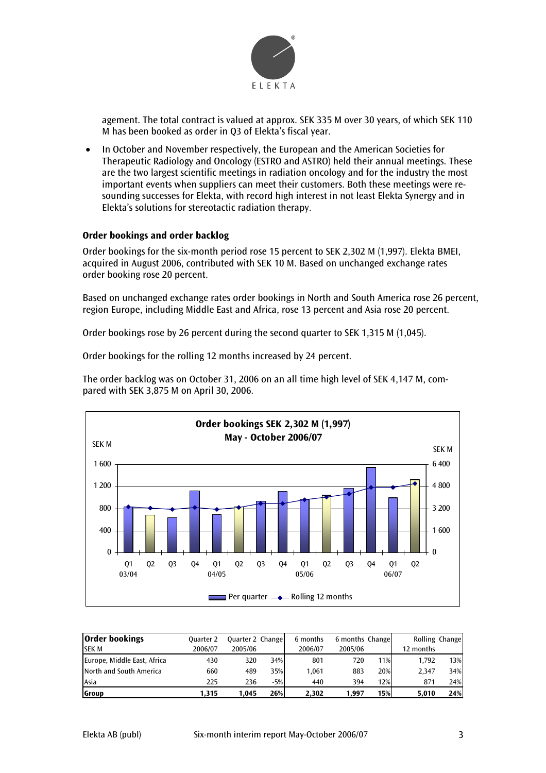

agement. The total contract is valued at approx. SEK 335 M over 30 years, of which SEK 110 M has been booked as order in Q3 of Elekta's fiscal year.

• In October and November respectively, the European and the American Societies for Therapeutic Radiology and Oncology (ESTRO and ASTRO) held their annual meetings. These are the two largest scientific meetings in radiation oncology and for the industry the most important events when suppliers can meet their customers. Both these meetings were resounding successes for Elekta, with record high interest in not least Elekta Synergy and in Elekta's solutions for stereotactic radiation therapy.

# **Order bookings and order backlog**

Order bookings for the six-month period rose 15 percent to SEK 2,302 M (1,997). Elekta BMEI, acquired in August 2006, contributed with SEK 10 M. Based on unchanged exchange rates order booking rose 20 percent.

Based on unchanged exchange rates order bookings in North and South America rose 26 percent, region Europe, including Middle East and Africa, rose 13 percent and Asia rose 20 percent.

Order bookings rose by 26 percent during the second quarter to SEK 1,315 M (1,045).

Order bookings for the rolling 12 months increased by 24 percent.

The order backlog was on October 31, 2006 on an all time high level of SEK 4,147 M, compared with SEK 3,875 M on April 30, 2006.



| <b>Order bookings</b>       | <b>Quarter 2</b> | Quarter 2 Change |       | 6 months | 6 months Change |     | Rolling Change |     |
|-----------------------------|------------------|------------------|-------|----------|-----------------|-----|----------------|-----|
| <b>SEK M</b>                | 2006/07          | 2005/06          |       | 2006/07  | 2005/06         |     | 12 months      |     |
| Europe, Middle East, Africa | 430              | 320              | 34%   | 801      | 720             | 11% | 1,792          | 13% |
| North and South America     | 660              | 489              | 35%   | 1.061    | 883             | 20% | 2.347          | 34% |
| Asia                        | 225              | 236              | $-5%$ | 440      | 394             | 12% | 871            | 24% |
| Group                       | 1.315            | 1.045            | 26%   | 2.302    | 1.997           | 15% | 5,010          | 24% |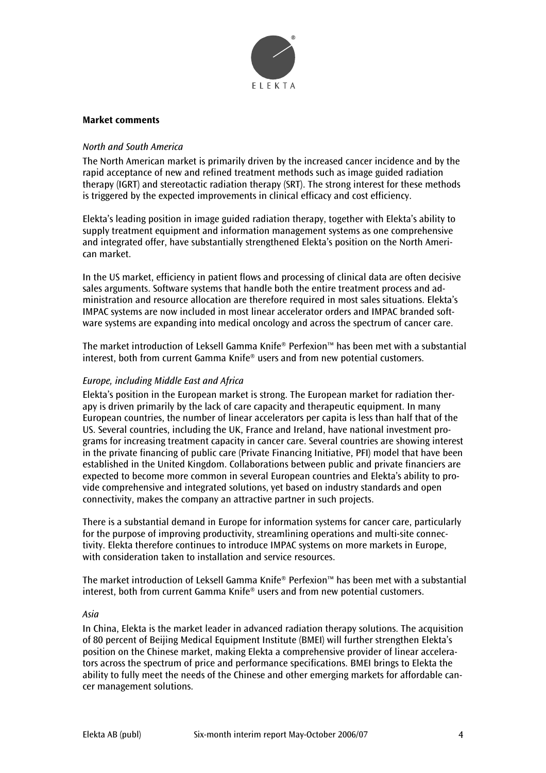

# **Market comments**

# *North and South America*

The North American market is primarily driven by the increased cancer incidence and by the rapid acceptance of new and refined treatment methods such as image guided radiation therapy (IGRT) and stereotactic radiation therapy (SRT). The strong interest for these methods is triggered by the expected improvements in clinical efficacy and cost efficiency.

Elekta's leading position in image guided radiation therapy, together with Elekta's ability to supply treatment equipment and information management systems as one comprehensive and integrated offer, have substantially strengthened Elekta's position on the North American market.

In the US market, efficiency in patient flows and processing of clinical data are often decisive sales arguments. Software systems that handle both the entire treatment process and administration and resource allocation are therefore required in most sales situations. Elekta's IMPAC systems are now included in most linear accelerator orders and IMPAC branded software systems are expanding into medical oncology and across the spectrum of cancer care.

The market introduction of Leksell Gamma Knife® Perfexion™ has been met with a substantial interest, both from current Gamma Knife® users and from new potential customers.

#### *Europe, including Middle East and Africa*

Elekta's position in the European market is strong. The European market for radiation therapy is driven primarily by the lack of care capacity and therapeutic equipment. In many European countries, the number of linear accelerators per capita is less than half that of the US. Several countries, including the UK, France and Ireland, have national investment programs for increasing treatment capacity in cancer care. Several countries are showing interest in the private financing of public care (Private Financing Initiative, PFI) model that have been established in the United Kingdom. Collaborations between public and private financiers are expected to become more common in several European countries and Elekta's ability to provide comprehensive and integrated solutions, yet based on industry standards and open connectivity, makes the company an attractive partner in such projects.

There is a substantial demand in Europe for information systems for cancer care, particularly for the purpose of improving productivity, streamlining operations and multi-site connectivity. Elekta therefore continues to introduce IMPAC systems on more markets in Europe, with consideration taken to installation and service resources.

The market introduction of Leksell Gamma Knife® Perfexion™ has been met with a substantial interest, both from current Gamma Knife® users and from new potential customers.

#### *Asia*

In China, Elekta is the market leader in advanced radiation therapy solutions. The acquisition of 80 percent of Beijing Medical Equipment Institute (BMEI) will further strengthen Elekta's position on the Chinese market, making Elekta a comprehensive provider of linear accelerators across the spectrum of price and performance specifications. BMEI brings to Elekta the ability to fully meet the needs of the Chinese and other emerging markets for affordable cancer management solutions.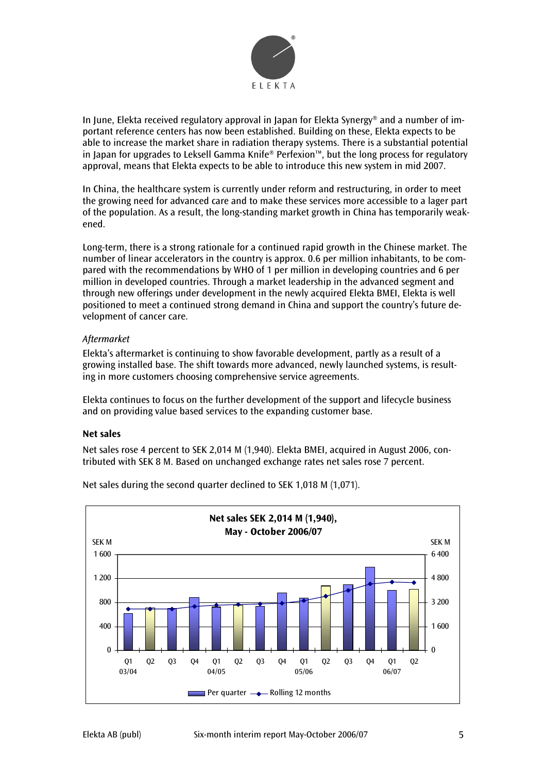

In June, Elekta received regulatory approval in Japan for Elekta Synergy® and a number of important reference centers has now been established. Building on these, Elekta expects to be able to increase the market share in radiation therapy systems. There is a substantial potential in Japan for upgrades to Leksell Gamma Knife® Perfexion™, but the long process for regulatory approval, means that Elekta expects to be able to introduce this new system in mid 2007.

In China, the healthcare system is currently under reform and restructuring, in order to meet the growing need for advanced care and to make these services more accessible to a lager part of the population. As a result, the long-standing market growth in China has temporarily weakened.

Long-term, there is a strong rationale for a continued rapid growth in the Chinese market. The number of linear accelerators in the country is approx. 0.6 per million inhabitants, to be compared with the recommendations by WHO of 1 per million in developing countries and 6 per million in developed countries. Through a market leadership in the advanced segment and through new offerings under development in the newly acquired Elekta BMEI, Elekta is well positioned to meet a continued strong demand in China and support the country's future development of cancer care.

# *Aftermarket*

Elekta's aftermarket is continuing to show favorable development, partly as a result of a growing installed base. The shift towards more advanced, newly launched systems, is resulting in more customers choosing comprehensive service agreements.

Elekta continues to focus on the further development of the support and lifecycle business and on providing value based services to the expanding customer base.

# **Net sales**

Net sales rose 4 percent to SEK 2,014 M (1,940). Elekta BMEI, acquired in August 2006, contributed with SEK 8 M. Based on unchanged exchange rates net sales rose 7 percent.



Net sales during the second quarter declined to SEK 1,018 M (1,071).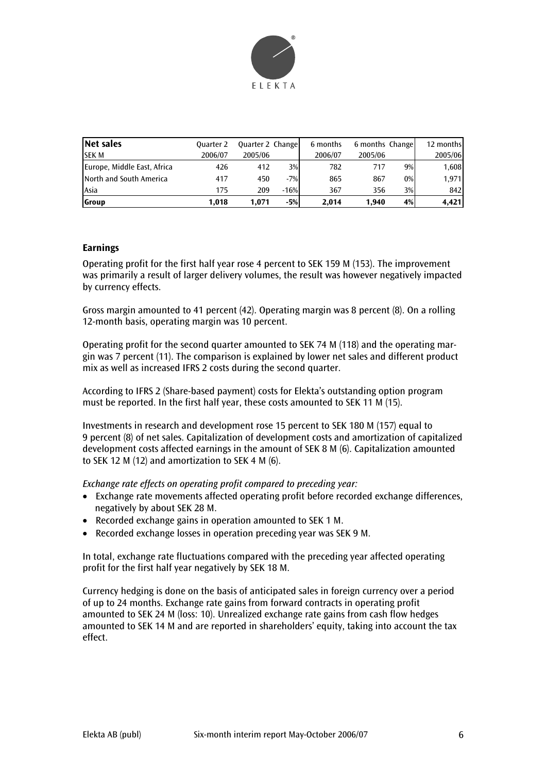

| Net sales                   | <b>Ouarter 2</b> | Quarter 2 Change |        | 6 months | 6 months Change |       | 12 months |
|-----------------------------|------------------|------------------|--------|----------|-----------------|-------|-----------|
| <b>SEK M</b>                | 2006/07          | 2005/06          |        | 2006/07  | 2005/06         |       | 2005/06   |
| Europe, Middle East, Africa | 426              | 412              | 3%     | 782      | 717             | 9%    | 1,608     |
| North and South America     | 417              | 450              | $-7%$  | 865      | 867             | $0\%$ | 1,971     |
| Asia                        | 175              | 209              | $-16%$ | 367      | 356             | 3%    | 842       |
| <b>Group</b>                | 1,018            | 1,071            | $-5%$  | 2.014    | 1.940           | 4%    | 4.421     |

# **Earnings**

Operating profit for the first half year rose 4 percent to SEK 159 M (153). The improvement was primarily a result of larger delivery volumes, the result was however negatively impacted by currency effects.

Gross margin amounted to 41 percent (42). Operating margin was 8 percent (8). On a rolling 12-month basis, operating margin was 10 percent.

Operating profit for the second quarter amounted to SEK 74 M (118) and the operating margin was 7 percent (11). The comparison is explained by lower net sales and different product mix as well as increased IFRS 2 costs during the second quarter.

According to IFRS 2 (Share-based payment) costs for Elekta's outstanding option program must be reported. In the first half year, these costs amounted to SEK 11 M (15).

Investments in research and development rose 15 percent to SEK 180 M (157) equal to 9 percent (8) of net sales. Capitalization of development costs and amortization of capitalized development costs affected earnings in the amount of SEK 8 M (6). Capitalization amounted to SEK 12 M (12) and amortization to SEK 4 M (6).

*Exchange rate effects on operating profit compared to preceding year:* 

- Exchange rate movements affected operating profit before recorded exchange differences, negatively by about SEK 28 M.
- Recorded exchange gains in operation amounted to SEK 1 M.
- Recorded exchange losses in operation preceding year was SEK 9 M.

In total, exchange rate fluctuations compared with the preceding year affected operating profit for the first half year negatively by SEK 18 M.

Currency hedging is done on the basis of anticipated sales in foreign currency over a period of up to 24 months. Exchange rate gains from forward contracts in operating profit amounted to SEK 24 M (loss: 10). Unrealized exchange rate gains from cash flow hedges amounted to SEK 14 M and are reported in shareholders' equity, taking into account the tax effect.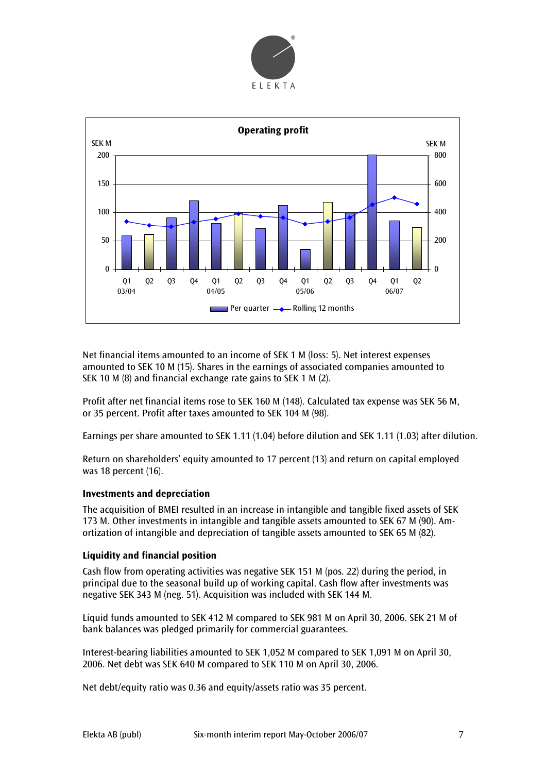



Net financial items amounted to an income of SEK 1 M (loss: 5). Net interest expenses amounted to SEK 10 M (15). Shares in the earnings of associated companies amounted to SEK 10 M (8) and financial exchange rate gains to SEK 1 M (2).

Profit after net financial items rose to SEK 160 M (148). Calculated tax expense was SEK 56 M, or 35 percent. Profit after taxes amounted to SEK 104 M (98).

Earnings per share amounted to SEK 1.11 (1.04) before dilution and SEK 1.11 (1.03) after dilution.

Return on shareholders' equity amounted to 17 percent (13) and return on capital employed was 18 percent (16).

# **Investments and depreciation**

The acquisition of BMEI resulted in an increase in intangible and tangible fixed assets of SEK 173 M. Other investments in intangible and tangible assets amounted to SEK 67 M (90). Amortization of intangible and depreciation of tangible assets amounted to SEK 65 M (82).

# **Liquidity and financial position**

Cash flow from operating activities was negative SEK 151 M (pos. 22) during the period, in principal due to the seasonal build up of working capital. Cash flow after investments was negative SEK 343 M (neg. 51). Acquisition was included with SEK 144 M.

Liquid funds amounted to SEK 412 M compared to SEK 981 M on April 30, 2006. SEK 21 M of bank balances was pledged primarily for commercial guarantees.

Interest-bearing liabilities amounted to SEK 1,052 M compared to SEK 1,091 M on April 30, 2006. Net debt was SEK 640 M compared to SEK 110 M on April 30, 2006.

Net debt/equity ratio was 0.36 and equity/assets ratio was 35 percent.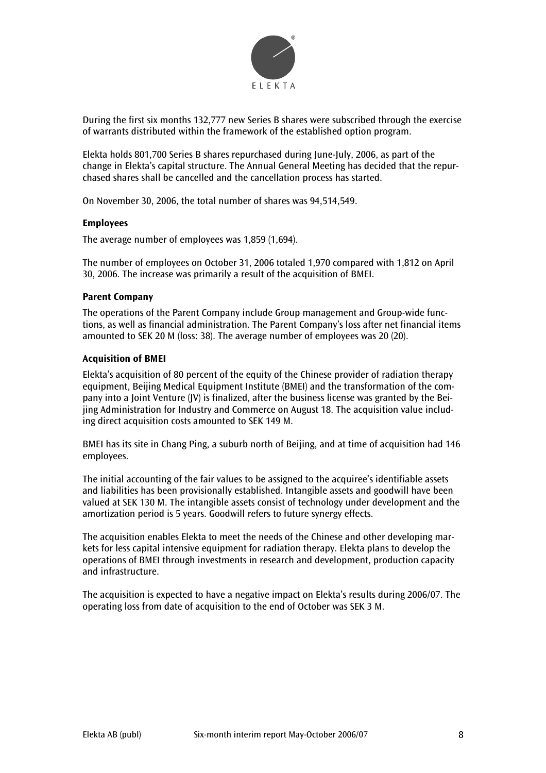

During the first six months 132,777 new Series B shares were subscribed through the exercise of warrants distributed within the framework of the established option program.

Elekta holds 801,700 Series B shares repurchased during June-July, 2006, as part of the change in Elekta's capital structure. The Annual General Meeting has decided that the repurchased shares shall be cancelled and the cancellation process has started.

On November 30, 2006, the total number of shares was 94,514,549.

#### **Employees**

The average number of employees was 1,859 (1,694).

The number of employees on October 31, 2006 totaled 1,970 compared with 1,812 on April 30, 2006. The increase was primarily a result of the acquisition of BMEI.

#### **Parent Company**

The operations of the Parent Company include Group management and Group-wide functions, as well as financial administration. The Parent Company's loss after net financial items amounted to SEK 20 M (loss: 38). The average number of employees was 20 (20).

#### **Acquisition of BMEI**

Elekta's acquisition of 80 percent of the equity of the Chinese provider of radiation therapy equipment, Beijing Medical Equipment Institute (BMEI) and the transformation of the company into a Joint Venture (JV) is finalized, after the business license was granted by the Beijing Administration for Industry and Commerce on August 18. The acquisition value including direct acquisition costs amounted to SEK 149 M.

BMEI has its site in Chang Ping, a suburb north of Beijing, and at time of acquisition had 146 employees.

The initial accounting of the fair values to be assigned to the acquiree's identifiable assets and liabilities has been provisionally established. Intangible assets and goodwill have been valued at SEK 130 M. The intangible assets consist of technology under development and the amortization period is 5 years. Goodwill refers to future synergy effects.

The acquisition enables Elekta to meet the needs of the Chinese and other developing markets for less capital intensive equipment for radiation therapy. Elekta plans to develop the operations of BMEI through investments in research and development, production capacity and infrastructure.

The acquisition is expected to have a negative impact on Elekta's results during 2006/07. The operating loss from date of acquisition to the end of October was SEK 3 M.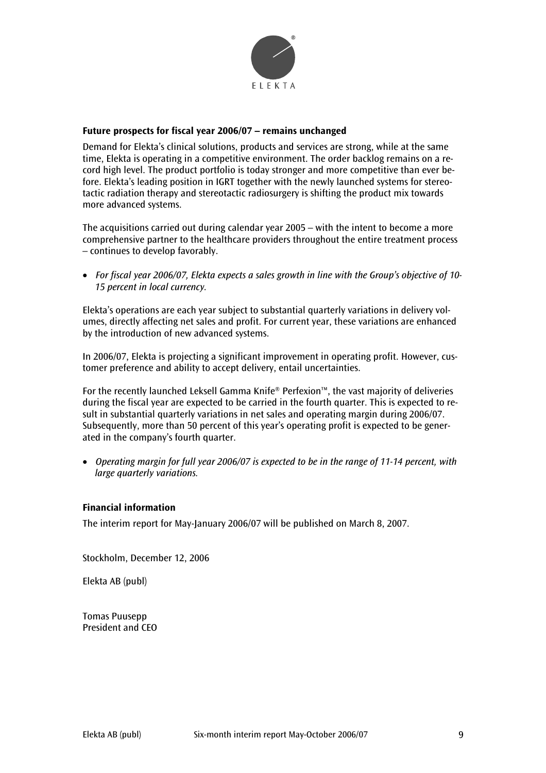

# **Future prospects for fiscal year 2006/07 – remains unchanged**

Demand for Elekta's clinical solutions, products and services are strong, while at the same time, Elekta is operating in a competitive environment. The order backlog remains on a record high level. The product portfolio is today stronger and more competitive than ever before. Elekta's leading position in IGRT together with the newly launched systems for stereotactic radiation therapy and stereotactic radiosurgery is shifting the product mix towards more advanced systems.

The acquisitions carried out during calendar year 2005 – with the intent to become a more comprehensive partner to the healthcare providers throughout the entire treatment process – continues to develop favorably.

• *For fiscal year 2006/07, Elekta expects a sales growth in line with the Group's objective of 10- 15 percent in local currency.* 

Elekta's operations are each year subject to substantial quarterly variations in delivery volumes, directly affecting net sales and profit. For current year, these variations are enhanced by the introduction of new advanced systems.

In 2006/07, Elekta is projecting a significant improvement in operating profit. However, customer preference and ability to accept delivery, entail uncertainties.

For the recently launched Leksell Gamma Knife® Perfexion™, the vast majority of deliveries during the fiscal year are expected to be carried in the fourth quarter. This is expected to result in substantial quarterly variations in net sales and operating margin during 2006/07. Subsequently, more than 50 percent of this year's operating profit is expected to be generated in the company's fourth quarter.

• *Operating margin for full year 2006/07 is expected to be in the range of 11-14 percent, with large quarterly variations.* 

# **Financial information**

The interim report for May-January 2006/07 will be published on March 8, 2007.

Stockholm, December 12, 2006

Elekta AB (publ)

Tomas Puusepp President and CEO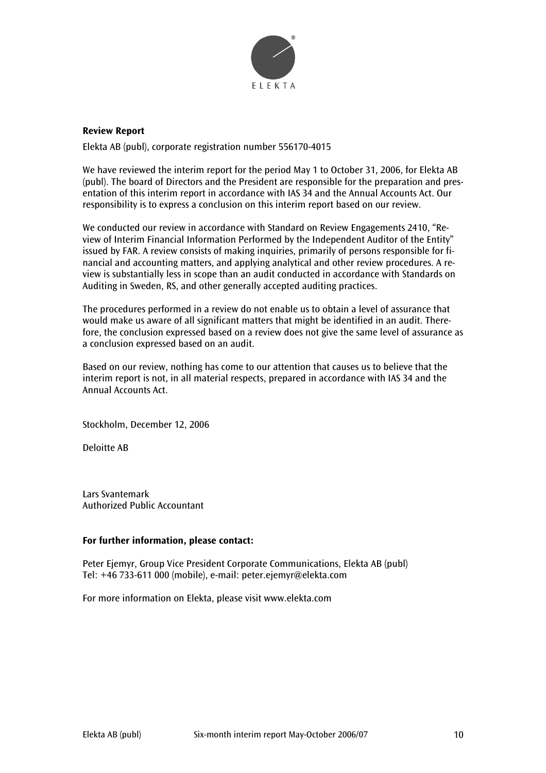

# **Review Report**

Elekta AB (publ), corporate registration number 556170-4015

We have reviewed the interim report for the period May 1 to October 31, 2006, for Elekta AB (publ). The board of Directors and the President are responsible for the preparation and presentation of this interim report in accordance with IAS 34 and the Annual Accounts Act. Our responsibility is to express a conclusion on this interim report based on our review.

We conducted our review in accordance with Standard on Review Engagements 2410, "Review of Interim Financial Information Performed by the Independent Auditor of the Entity" issued by FAR. A review consists of making inquiries, primarily of persons responsible for financial and accounting matters, and applying analytical and other review procedures. A review is substantially less in scope than an audit conducted in accordance with Standards on Auditing in Sweden, RS, and other generally accepted auditing practices.

The procedures performed in a review do not enable us to obtain a level of assurance that would make us aware of all significant matters that might be identified in an audit. Therefore, the conclusion expressed based on a review does not give the same level of assurance as a conclusion expressed based on an audit.

Based on our review, nothing has come to our attention that causes us to believe that the interim report is not, in all material respects, prepared in accordance with IAS 34 and the Annual Accounts Act.

Stockholm, December 12, 2006

Deloitte AB

Lars Svantemark Authorized Public Accountant

# **For further information, please contact:**

Peter Ejemyr, Group Vice President Corporate Communications, Elekta AB (publ) Tel: +46 733-611 000 (mobile), e-mail: peter.ejemyr@elekta.com

For more information on Elekta, please visit www.elekta.com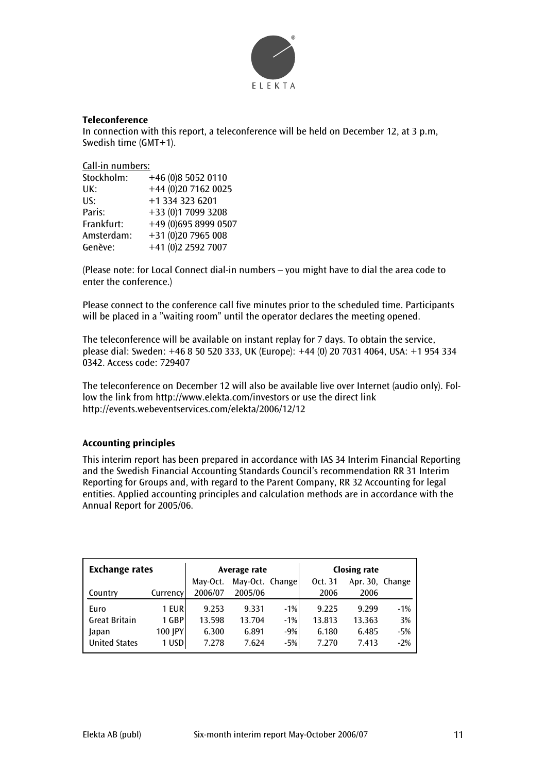

# **Teleconference**

In connection with this report, a teleconference will be held on December 12, at 3 p.m, Swedish time (GMT+1).

Call-in numbers:

| Stockholm: | +46 (0)8 5052 0110   |
|------------|----------------------|
| UK:        | +44 (0)20 7162 0025  |
| US:        | +1 334 323 6201      |
| Paris:     | +33 (0)1 7099 3208   |
| Frankfurt: | +49 (0)695 8999 0507 |
| Amsterdam: | +31 (0)20 7965 008   |
| Genève:    | +41 (0)2 2592 7007   |

(Please note: for Local Connect dial-in numbers – you might have to dial the area code to enter the conference.)

Please connect to the conference call five minutes prior to the scheduled time. Participants will be placed in a "waiting room" until the operator declares the meeting opened.

The teleconference will be available on instant replay for 7 days. To obtain the service, please dial: Sweden: +46 8 50 520 333, UK (Europe): +44 (0) 20 7031 4064, USA: +1 954 334 0342. Access code: 729407

The teleconference on December 12 will also be available live over Internet (audio only). Follow the link from http://www.elekta.com/investors or use the direct link http://events.webeventservices.com/elekta/2006/12/12

# **Accounting principles**

This interim report has been prepared in accordance with IAS 34 Interim Financial Reporting and the Swedish Financial Accounting Standards Council's recommendation RR 31 Interim Reporting for Groups and, with regard to the Parent Company, RR 32 Accounting for legal entities. Applied accounting principles and calculation methods are in accordance with the Annual Report for 2005/06.

| <b>Exchange rates</b> |          | Average rate |                 | <b>Closing rate</b> |         |                 |       |
|-----------------------|----------|--------------|-----------------|---------------------|---------|-----------------|-------|
|                       |          | May-Oct.     | May-Oct. Change |                     | Oct. 31 | Apr. 30, Change |       |
| Country               | Currency | 2006/07      | 2005/06         |                     | 2006    | 2006            |       |
| Euro                  | 1 EUR    | 9.253        | 9.331           | $-1%$               | 9.225   | 9.299           | $-1%$ |
| <b>Great Britain</b>  | 1 GBP    | 13.598       | 13.704          | $-1%$               | 13.813  | 13.363          | 3%    |
| Japan                 | 100 JPY  | 6.300        | 6.891           | $-9%$               | 6.180   | 6.485           | $-5%$ |
| <b>United States</b>  | 1 USDI   | 7.278        | 7.624           | $-5%$               | 7.270   | 7.413           | $-2%$ |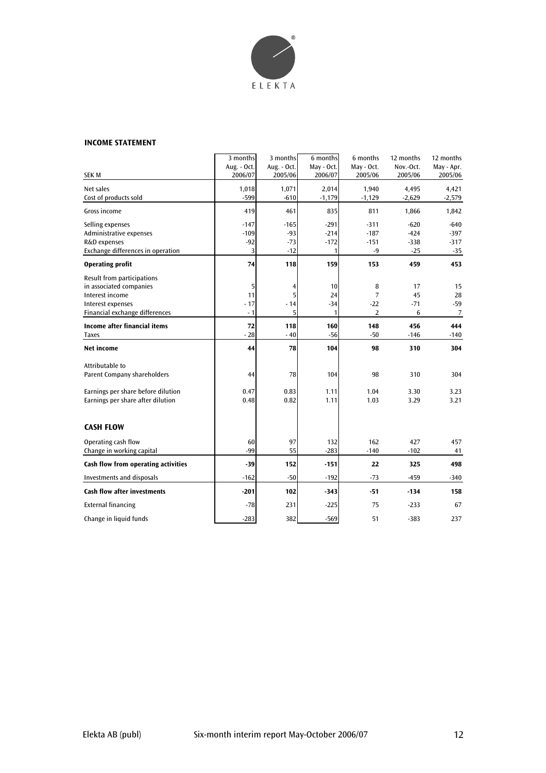

#### **INCOME STATEMENT**

|                                     | 3 months               | 3 months               | 6 months              | 6 months              | 12 months            | 12 months             |
|-------------------------------------|------------------------|------------------------|-----------------------|-----------------------|----------------------|-----------------------|
| <b>SEK M</b>                        | Aug. - Oct.<br>2006/07 | Aug. - Oct.<br>2005/06 | May - Oct.<br>2006/07 | May - Oct.<br>2005/06 | Nov.-Oct.<br>2005/06 | May - Apr.<br>2005/06 |
|                                     |                        |                        |                       |                       |                      |                       |
| Net sales                           | 1,018<br>-599          | 1,071<br>$-610$        | 2,014                 | 1,940                 | 4,495<br>$-2,629$    | 4,421                 |
| Cost of products sold               |                        |                        | $-1,179$              | $-1,129$              |                      | $-2,579$              |
| Gross income                        | 419                    | 461                    | 835                   | 811                   | 1,866                | 1,842                 |
| Selling expenses                    | $-147$                 | $-165$                 | $-291$                | $-311$                | $-620$               | $-640$                |
| Administrative expenses             | $-109$                 | $-93$                  | $-214$                | $-187$                | $-424$               | $-397$                |
| R&D expenses                        | $-92$                  | $-73$                  | $-172$                | $-151$                | $-338$               | $-317$                |
| Exchange differences in operation   | 3                      | $-12$                  | 1                     | $-9$                  | $-25$                | $-35$                 |
| <b>Operating profit</b>             | 74                     | 118                    | 159                   | 153                   | 459                  | 453                   |
| Result from participations          |                        |                        |                       |                       |                      |                       |
| in associated companies             | 5                      | 4                      | 10                    | 8                     | 17                   | 15                    |
| Interest income                     | 11                     | 5                      | 24                    | 7                     | 45                   | 28                    |
| Interest expenses                   | $-17$                  | $-14$                  | $-34$                 | $-22$                 | $-71$                | $-59$                 |
| Financial exchange differences      | $-1$                   | 5                      | $\mathbf{1}$          | 2                     | 6                    | $\overline{7}$        |
| <b>Income after financial items</b> | 72                     | 118                    | 160                   | 148                   | 456                  | 444                   |
| <b>Taxes</b>                        | $-28$                  | $-40$                  | $-56$                 | $-50$                 | $-146$               | $-140$                |
| Net income                          | 44                     | 78                     | 104                   | 98                    | 310                  | 304                   |
| Attributable to                     |                        |                        |                       |                       |                      |                       |
| <b>Parent Company shareholders</b>  | 44                     | 78                     | 104                   | 98                    | 310                  | 304                   |
| Earnings per share before dilution  | 0.47                   | 0.83                   | 1.11                  | 1.04                  | 3.30                 | 3.23                  |
| Earnings per share after dilution   | 0.48                   | 0.82                   | 1.11                  | 1.03                  | 3.29                 | 3.21                  |
|                                     |                        |                        |                       |                       |                      |                       |
| <b>CASH FLOW</b>                    |                        |                        |                       |                       |                      |                       |
| Operating cash flow                 | 60                     | 97                     | 132                   | 162                   | 427                  | 457                   |
| Change in working capital           | $-99$                  | 55                     | $-283$                | $-140$                | $-102$               | 41                    |
| Cash flow from operating activities | $-39$                  | 152                    | $-151$                | 22                    | 325                  | 498                   |
| Investments and disposals           | $-162$                 | $-50$                  | $-192$                | $-73$                 | $-459$               | -340                  |
| Cash flow after investments         | $-201$                 | 102                    | $-343$                | $-51$                 | $-134$               | 158                   |
| <b>External financing</b>           | $-78$                  | 231                    | $-225$                | 75                    | $-233$               | 67                    |
| Change in liquid funds              | $-283$                 | 382                    | $-569$                | 51                    | $-383$               | 237                   |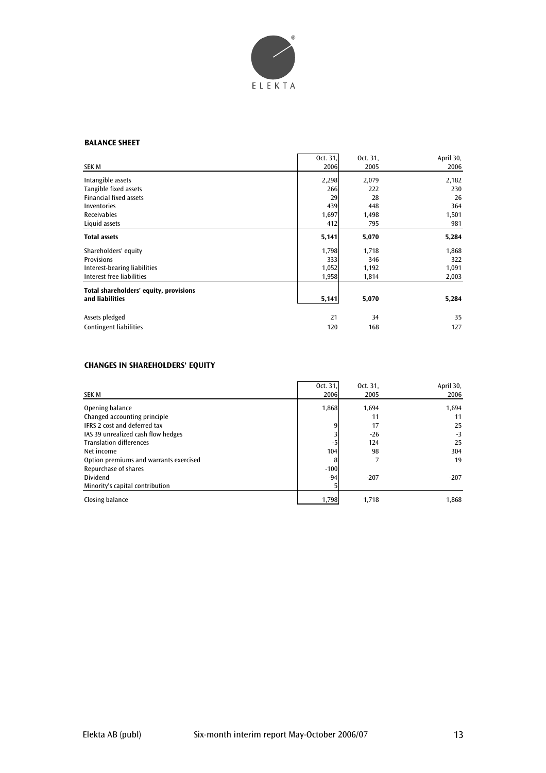

#### **BALANCE SHEET**

|                                        | Oct. 31, | Oct. 31, | April 30, |
|----------------------------------------|----------|----------|-----------|
| <b>SEK M</b>                           | 2006     | 2005     | 2006      |
| Intangible assets                      | 2,298    | 2,079    | 2,182     |
| Tangible fixed assets                  | 266      | 222      | 230       |
| <b>Financial fixed assets</b>          | 29       | 28       | 26        |
| Inventories                            | 439      | 448      | 364       |
| Receivables                            | 1,697    | 1,498    | 1,501     |
| Liquid assets                          | 412      | 795      | 981       |
| <b>Total assets</b>                    | 5,141    | 5,070    | 5,284     |
| Shareholders' equity                   | 1,798    | 1,718    | 1,868     |
| <b>Provisions</b>                      | 333      | 346      | 322       |
| Interest-bearing liabilities           | 1,052    | 1,192    | 1,091     |
| Interest-free liabilities              | 1,958    | 1,814    | 2,003     |
| Total shareholders' equity, provisions |          |          |           |
| and liabilities                        | 5,141    | 5,070    | 5,284     |
| Assets pledged                         | 21       | 34       | 35        |
| <b>Contingent liabilities</b>          | 120      | 168      | 127       |

# **CHANGES IN SHAREHOLDERS' EQUITY**

| <b>SEK M</b>                           | Oct. 31,<br>2006 | Oct. 31,<br>2005 | April 30,<br>2006 |
|----------------------------------------|------------------|------------------|-------------------|
| Opening balance                        | 1,868            | 1.694            | 1,694             |
| Changed accounting principle           |                  | 11               | 11                |
| <b>IFRS 2 cost and deferred tax</b>    |                  | 17               | 25                |
| IAS 39 unrealized cash flow hedges     |                  | $-26$            | $-3$              |
| <b>Translation differences</b>         | -5               | 124              | 25                |
| Net income                             | 104              | 98               | 304               |
| Option premiums and warrants exercised | 8                | 7                | 19                |
| Repurchase of shares                   | $-100$           |                  |                   |
| <b>Dividend</b>                        | $-94$            | $-207$           | $-207$            |
| Minority's capital contribution        |                  |                  |                   |
| Closing balance                        | 1,798            | 1,718            | 1,868             |